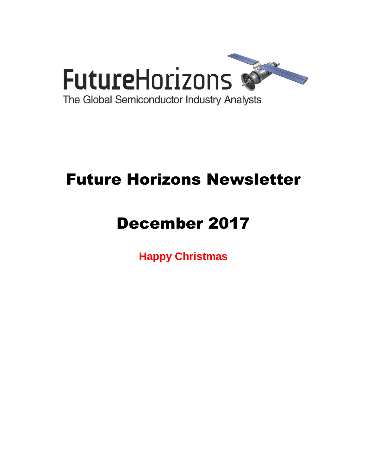

# Future Horizons Newsletter

# December 2017

**Happy Christmas**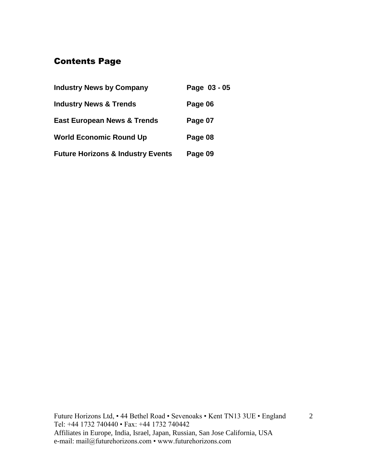# Contents Page

| <b>Industry News by Company</b>              | Page 03 - 05 |
|----------------------------------------------|--------------|
| <b>Industry News &amp; Trends</b>            | Page 06      |
| <b>East European News &amp; Trends</b>       | Page 07      |
| <b>World Economic Round Up</b>               | Page 08      |
| <b>Future Horizons &amp; Industry Events</b> | Page 09      |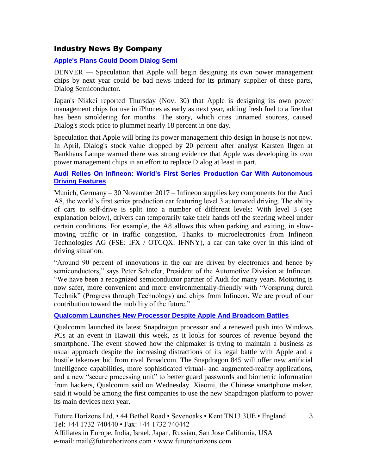#### Industry News By Company

#### **[Apple's Plans Could Doom Dialog Semi](https://www.eetasia.com/news/article/Apple_Plans_Could_Doom_Dialog_Semi?utm_source=EETA%20Article%20Alert&utm_medium=Email&utm_campaign=2017-12-04)**

DENVER — Speculation that Apple will begin designing its own power management chips by next year could be bad news indeed for its primary supplier of these parts, Dialog Semiconductor.

Japan's Nikkei reported Thursday (Nov. 30) that Apple is designing its own power management chips for use in iPhones as early as next year, adding fresh fuel to a fire that has been smoldering for months. The story, which cites unnamed sources, caused Dialog's stock price to plummet nearly 18 percent in one day.

Speculation that Apple will bring its power management chip design in house is not new. In April, Dialog's stock value dropped by 20 percent after analyst Karsten Iltgen at Bankhaus Lampe warned there was strong evidence that Apple was developing its own power management chips in an effort to replace Dialog at least in part.

#### **[Audi Relies On Infineon: World's First Series Production Car With Autonomous](https://www.infineon.com/cms/en/about-infineon/press/press-releases/2017/INFATV201711-014.html)  [Driving Features](https://www.infineon.com/cms/en/about-infineon/press/press-releases/2017/INFATV201711-014.html)**

Munich, Germany – 30 November 2017 – Infineon supplies key components for the Audi A8, the world's first series production car featuring level 3 automated driving. The ability of cars to self-drive is split into a number of different levels: With level 3 (see explanation below), drivers can temporarily take their hands off the steering wheel under certain conditions. For example, the A8 allows this when parking and exiting, in slowmoving traffic or in traffic congestion. Thanks to microelectronics from Infineon Technologies AG (FSE: IFX / OTCQX: IFNNY), a car can take over in this kind of driving situation.

"Around 90 percent of innovations in the car are driven by electronics and hence by semiconductors," says Peter Schiefer, President of the Automotive Division at Infineon. "We have been a recognized semiconductor partner of Audi for many years. Motoring is now safer, more convenient and more environmentally-friendly with "Vorsprung durch Technik" (Progress through Technology) and chips from Infineon. We are proud of our contribution toward the mobility of the future."

#### **[Qualcomm Launches New Processor Despite Apple And Broadcom Battles](https://www.ft.com/content/3ad68572-da2e-11e7-a039-c64b1c09b482?conceptId=58ec1a8b-4225-3914-8146-33ef809009c6)**

Qualcomm launched its latest Snapdragon processor and a renewed push into Windows PCs at an event in Hawaii this week, as it looks for sources of revenue beyond the smartphone. The event showed how the chipmaker is trying to maintain a business as usual approach despite the increasing distractions of its legal battle with Apple and a hostile takeover bid from rival Broadcom. The Snapdragon 845 will offer new artificial intelligence capabilities, more sophisticated virtual- and augmented-reality applications, and a new "secure processing unit" to better guard passwords and biometric information from hackers, Qualcomm said on Wednesday. Xiaomi, the Chinese smartphone maker, said it would be among the first companies to use the new Snapdragon platform to power its main devices next year.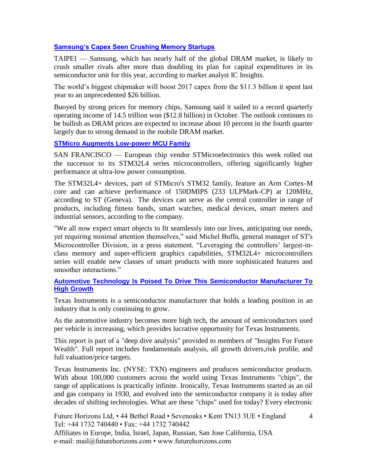#### **[Samsung's Capex Seen Crushing Memory Startups](https://www.eetimes.com/document.asp?doc_id=1332610&_mc=RSS_EET_EDT)**

TAIPEI — Samsung, which has nearly half of the global DRAM market, is likely to crush smaller rivals after more than doubling its plan for capital expenditures in its semiconductor unit for this year, according to market analyst IC Insights.

The world's biggest chipmaker will boost 2017 capex from the \$11.3 billion it spent last year to an unprecedented \$26 billion.

Buoyed by strong prices for memory chips, Samsung said it sailed to a record quarterly operating income of 14.5 trillion won (\$12.8 billion) in October. The outlook continues to be bullish as DRAM prices are expected to increase about 10 percent in the fourth quarter largely due to strong demand in the mobile DRAM market.

#### **[STMicro Augments Low-power MCU Family](https://www.eetimes.com/document.asp?doc_id=1332619&_mc=RSS_EET_EDT)**

SAN FRANCISCO — European chip vendor STMicroelectronics this week rolled out the successor to its STM32L4 series microcontrollers, offering significantly higher performance at ultra-low power consumption.

The STM32L4+ devices, part of STMicro's STM32 family, feature an Arm Cortex-M core and can achieve performance of 150DMIPS (233 ULPMark-CP) at 120MHz, according to ST (Geneva). The devices can serve as the central controller in range of products, including fitness bands, smart watches, medical devices, smart meters and industrial sensors, according to the company.

"We all now expect smart objects to fit seamlessly into our lives, anticipating our needs, yet requiring minimal attention themselves," said Michel Buffa, general manager of ST's Microcontroller Division, in a press statement. "Leveraging the controllers' largest-inclass memory and super-efficient graphics capabilities, STM32L4+ microcontrollers series will enable new classes of smart products with more sophisticated features and smoother interactions."

#### **[Automotive Technology Is Poised To Drive This Semiconductor Manufacturer To](https://seekingalpha.com/article/4129644-automotive-technology-poised-drive-semiconductor-manufacturer-high-growth)  [High Growth](https://seekingalpha.com/article/4129644-automotive-technology-poised-drive-semiconductor-manufacturer-high-growth)**

Texas Instruments is a semiconductor manufacturer that holds a leading position in an industry that is only continuing to grow.

As the automotive industry becomes more high tech, the amount of semiconductors used per vehicle is increasing, which provides lucrative opportunity for Texas Instruments.

This report is part of a "deep dive analysis" provided to members of "Insights For Future Wealth". Full report includes fundamentals analysis, all growth drivers,risk profile, and full valuation/price targets.

Texas Instruments Inc. (NYSE: TXN) engineers and produces semiconductor products. With about 100,000 customers across the world using Texas Instruments "chips", the range of applications is practically infinite. Ironically, Texas Instruments started as an oil and gas company in 1930, and evolved into the semiconductor company it is today after decades of shifting technologies. What are these "chips" used for today? Every electronic

4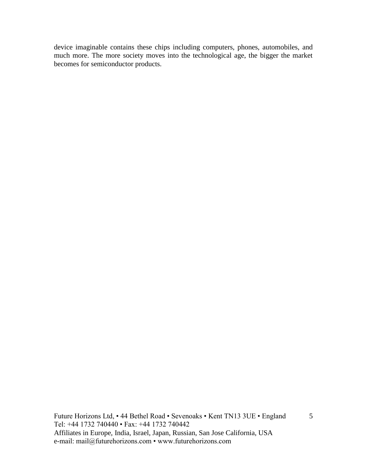device imaginable contains these chips including computers, phones, automobiles, and much more. The more society moves into the technological age, the bigger the market becomes for semiconductor products.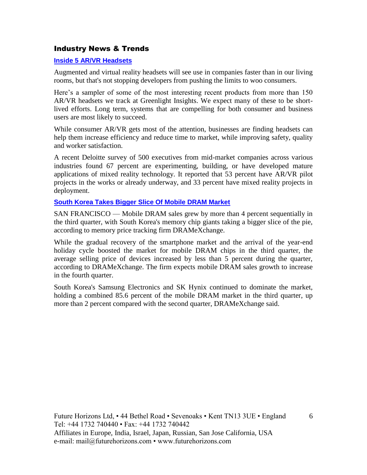#### Industry News & Trends

#### **[Inside 5 AR/VR Headsets](https://www.eetimes.com/author.asp?section_id=36&doc_id=1332647&_mc=RSS_EET_EDT)**

Augmented and virtual reality headsets will see use in companies faster than in our living rooms, but that's not stopping developers from pushing the limits to woo consumers.

Here's a sampler of some of the most interesting recent products from more than 150 AR/VR headsets we track at Greenlight Insights. We expect many of these to be shortlived efforts. Long term, systems that are compelling for both consumer and business users are most likely to succeed.

While consumer AR/VR gets most of the attention, businesses are finding headsets can help them increase efficiency and reduce time to market, while improving safety, quality and worker satisfaction.

A recent Deloitte survey of 500 executives from mid-market companies across various industries found 67 percent are experimenting, building, or have developed mature applications of mixed reality technology. It reported that 53 percent have AR/VR pilot projects in the works or already underway, and 33 percent have mixed reality projects in deployment.

#### **[South Korea Takes Bigger Slice Of Mobile DRAM Market](https://www.eetimes.com/document.asp?doc_id=1332659&_mc=RSS_EET_EDT)**

SAN FRANCISCO — Mobile DRAM sales grew by more than 4 percent sequentially in the third quarter, with South Korea's memory chip giants taking a bigger slice of the pie, according to memory price tracking firm DRAMeXchange.

While the gradual recovery of the smartphone market and the arrival of the year-end holiday cycle boosted the market for mobile DRAM chips in the third quarter, the average selling price of devices increased by less than 5 percent during the quarter, according to DRAMeXchange. The firm expects mobile DRAM sales growth to increase in the fourth quarter.

South Korea's Samsung Electronics and SK Hynix continued to dominate the market, holding a combined 85.6 percent of the mobile DRAM market in the third quarter, up more than 2 percent compared with the second quarter, DRAMeXchange said.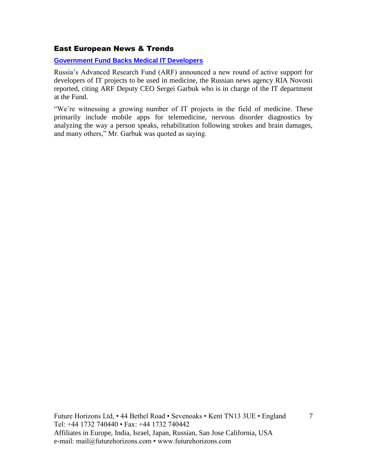#### East European News & Trends

**[Government Fund Backs Medical IT Developers](http://www.marchmontnews.com/Technology-Innovation/Central-regions/21904-Government-fund-backs-medical-IT-developers-.html)**

Russia's Advanced Research Fund (ARF) announced a new round of active support for developers of IT projects to be used in medicine, the Russian news agency RIA Novosti reported, citing ARF Deputy CEO Sergei Garbuk who is in charge of the IT department at the Fund.

"We're witnessing a growing number of IT projects in the field of medicine. These primarily include mobile apps for telemedicine, nervous disorder diagnostics by analyzing the way a person speaks, rehabilitation following strokes and brain damages, and many others," Mr. Garbuk was quoted as saying.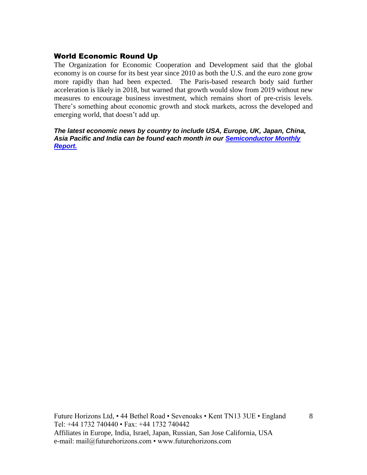#### World Economic Round Up

The Organization for Economic Cooperation and Development said that the global economy is on course for its best year since 2010 as both the U.S. and the euro zone grow more rapidly than had been expected. The Paris-based research body said further acceleration is likely in 2018, but warned that growth would slow from 2019 without new measures to encourage business investment, which remains short of pre-crisis levels. There's something about economic growth and stock markets, across the developed and emerging world, that doesn't add up.

*The latest economic news by country to include USA, Europe, UK, Japan, China, Asia Pacific and India can be found each month in our [Semiconductor Monthly](http://www.futurehorizons.com/page/18/Global-Semiconductor-Report)  [Report.](http://www.futurehorizons.com/page/18/Global-Semiconductor-Report)*